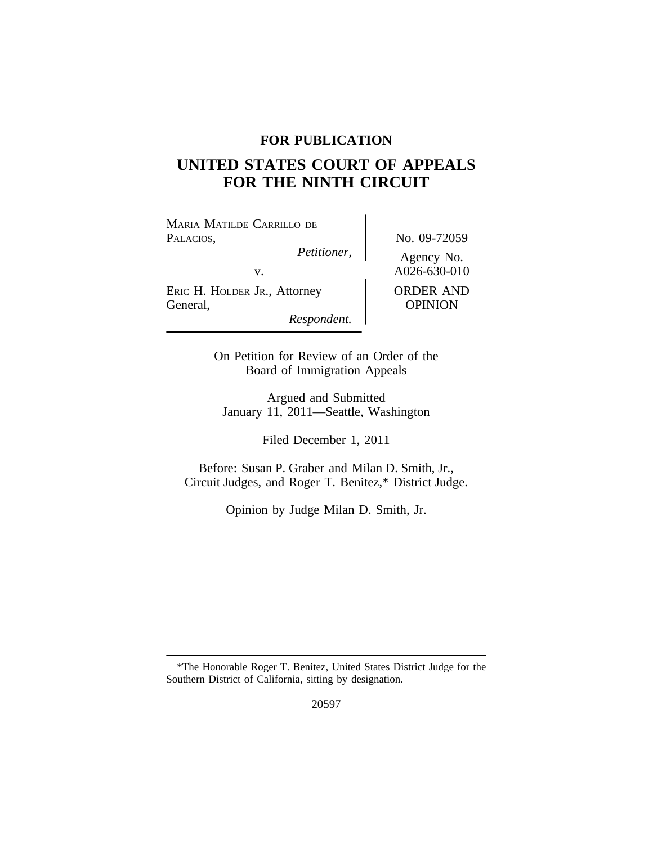## **FOR PUBLICATION**

# **UNITED STATES COURT OF APPEALS FOR THE NINTH CIRCUIT**

<sup>M</sup>ARIA MATILDE CARRILLO DE PALACIOS,  $Pettioner$ , No. 09-72059

ERIC H. HOLDER JR., Attorney | ORDER AND General, OPINION

*Respondent.*

Agency No. v.  $A026-630-010$ 

On Petition for Review of an Order of the Board of Immigration Appeals

Argued and Submitted January 11, 2011—Seattle, Washington

Filed December 1, 2011

Before: Susan P. Graber and Milan D. Smith, Jr., Circuit Judges, and Roger T. Benitez,\* District Judge.

Opinion by Judge Milan D. Smith, Jr.

<sup>\*</sup>The Honorable Roger T. Benitez, United States District Judge for the Southern District of California, sitting by designation.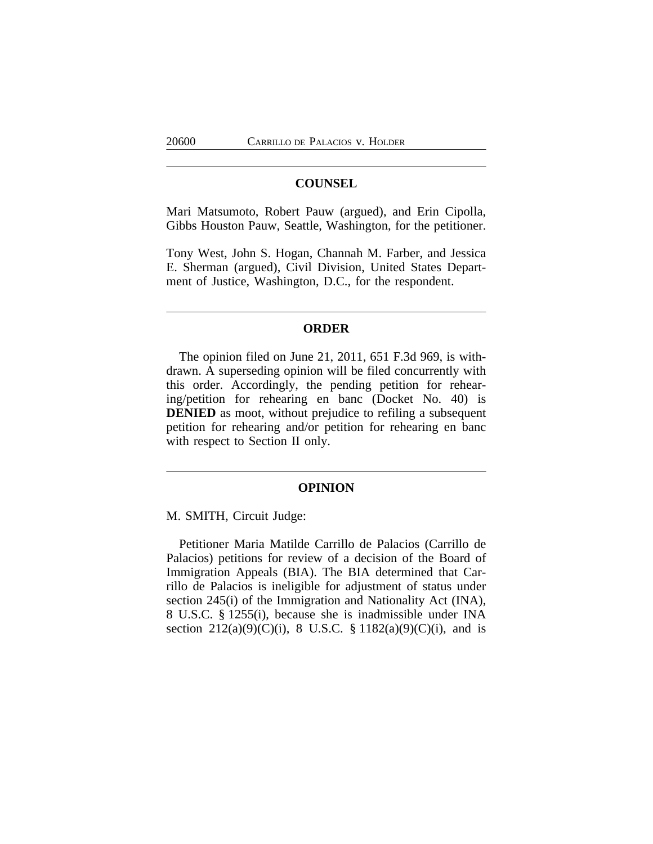## **COUNSEL**

Mari Matsumoto, Robert Pauw (argued), and Erin Cipolla, Gibbs Houston Pauw, Seattle, Washington, for the petitioner.

Tony West, John S. Hogan, Channah M. Farber, and Jessica E. Sherman (argued), Civil Division, United States Department of Justice, Washington, D.C., for the respondent.

## **ORDER**

The opinion filed on June 21, 2011, 651 F.3d 969, is withdrawn. A superseding opinion will be filed concurrently with this order. Accordingly, the pending petition for rehearing/petition for rehearing en banc (Docket No. 40) is **DENIED** as moot, without prejudice to refiling a subsequent petition for rehearing and/or petition for rehearing en banc with respect to Section II only.

#### **OPINION**

M. SMITH, Circuit Judge:

Petitioner Maria Matilde Carrillo de Palacios (Carrillo de Palacios) petitions for review of a decision of the Board of Immigration Appeals (BIA). The BIA determined that Carrillo de Palacios is ineligible for adjustment of status under section 245(i) of the Immigration and Nationality Act (INA), 8 U.S.C. § 1255(i), because she is inadmissible under INA section  $212(a)(9)(C)(i)$ , 8 U.S.C. § 1182(a)(9)(C)(i), and is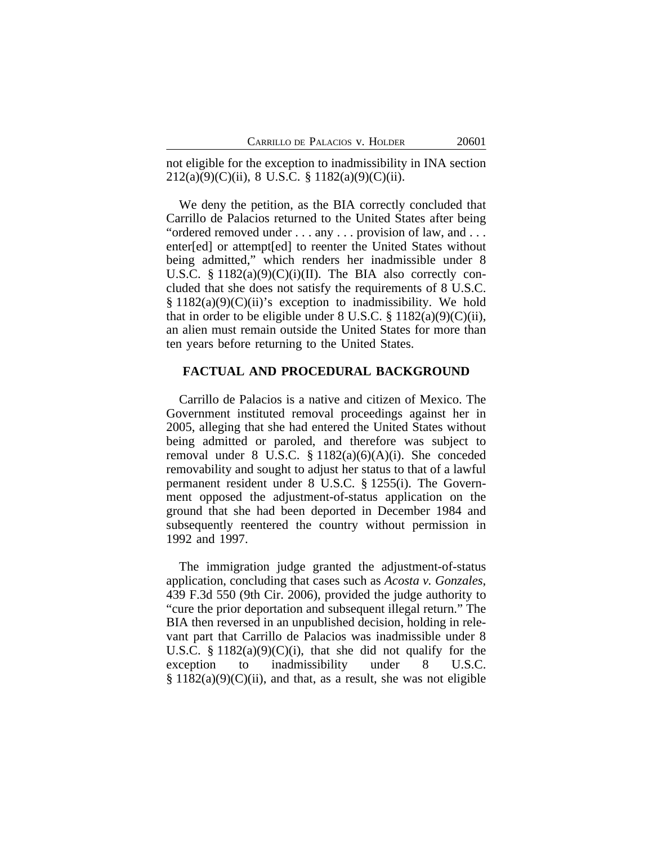not eligible for the exception to inadmissibility in INA section 212(a)(9)(C)(ii), 8 U.S.C. § 1182(a)(9)(C)(ii).

We deny the petition, as the BIA correctly concluded that Carrillo de Palacios returned to the United States after being "ordered removed under . . . any . . . provision of law, and . . . enter[ed] or attempt[ed] to reenter the United States without being admitted," which renders her inadmissible under 8 U.S.C.  $\S$  1182(a)(9)(C)(i)(II). The BIA also correctly concluded that she does not satisfy the requirements of 8 U.S.C.  $§ 1182(a)(9)(C)(ii)'s$  exception to inadmissibility. We hold that in order to be eligible under 8 U.S.C.  $\S$  1182(a)(9)(C)(ii), an alien must remain outside the United States for more than ten years before returning to the United States.

#### **FACTUAL AND PROCEDURAL BACKGROUND**

Carrillo de Palacios is a native and citizen of Mexico. The Government instituted removal proceedings against her in 2005, alleging that she had entered the United States without being admitted or paroled, and therefore was subject to removal under 8 U.S.C.  $\S 1182(a)(6)(A)(i)$ . She conceded removability and sought to adjust her status to that of a lawful permanent resident under 8 U.S.C. § 1255(i). The Government opposed the adjustment-of-status application on the ground that she had been deported in December 1984 and subsequently reentered the country without permission in 1992 and 1997.

The immigration judge granted the adjustment-of-status application, concluding that cases such as *Acosta v. Gonzales*, 439 F.3d 550 (9th Cir. 2006), provided the judge authority to "cure the prior deportation and subsequent illegal return." The BIA then reversed in an unpublished decision, holding in relevant part that Carrillo de Palacios was inadmissible under 8 U.S.C.  $\S 1182(a)(9)(C)(i)$ , that she did not qualify for the exception to inadmissibility under 8 U.S.C.  $§ 1182(a)(9)(C)(ii)$ , and that, as a result, she was not eligible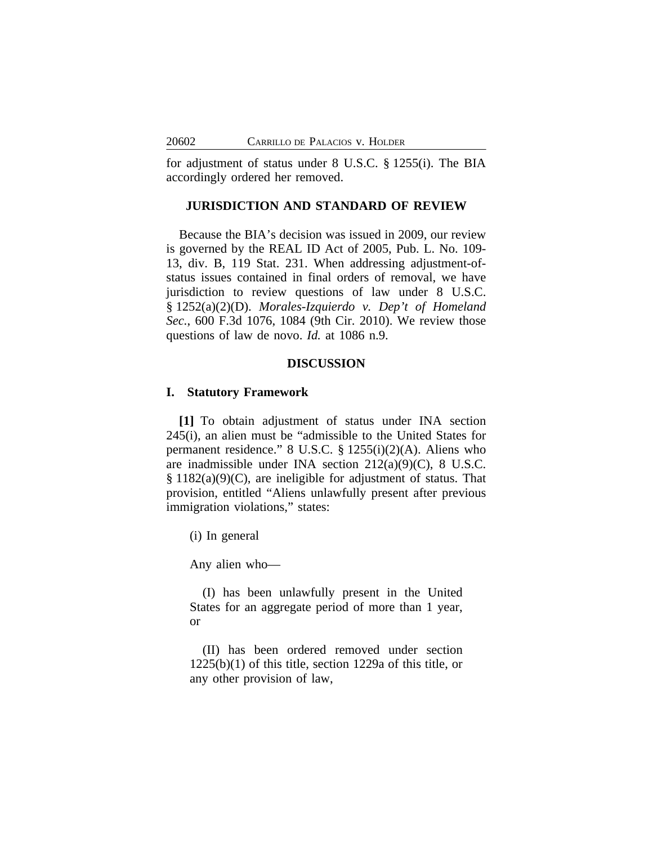for adjustment of status under 8 U.S.C. § 1255(i). The BIA accordingly ordered her removed.

## **JURISDICTION AND STANDARD OF REVIEW**

Because the BIA's decision was issued in 2009, our review is governed by the REAL ID Act of 2005, Pub. L. No. 109- 13, div. B, 119 Stat. 231. When addressing adjustment-ofstatus issues contained in final orders of removal, we have jurisdiction to review questions of law under 8 U.S.C. § 1252(a)(2)(D). *Morales-Izquierdo v. Dep't of Homeland Sec.*, 600 F.3d 1076, 1084 (9th Cir. 2010). We review those questions of law de novo. *Id.* at 1086 n.9.

### **DISCUSSION**

## **I. Statutory Framework**

**[1]** To obtain adjustment of status under INA section 245(i), an alien must be "admissible to the United States for permanent residence." 8 U.S.C. § 1255(i)(2)(A). Aliens who are inadmissible under INA section 212(a)(9)(C), 8 U.S.C. § 1182(a)(9)(C), are ineligible for adjustment of status. That provision, entitled "Aliens unlawfully present after previous immigration violations," states:

(i) In general

Any alien who—

(I) has been unlawfully present in the United States for an aggregate period of more than 1 year, or

(II) has been ordered removed under section 1225(b)(1) of this title, section 1229a of this title, or any other provision of law,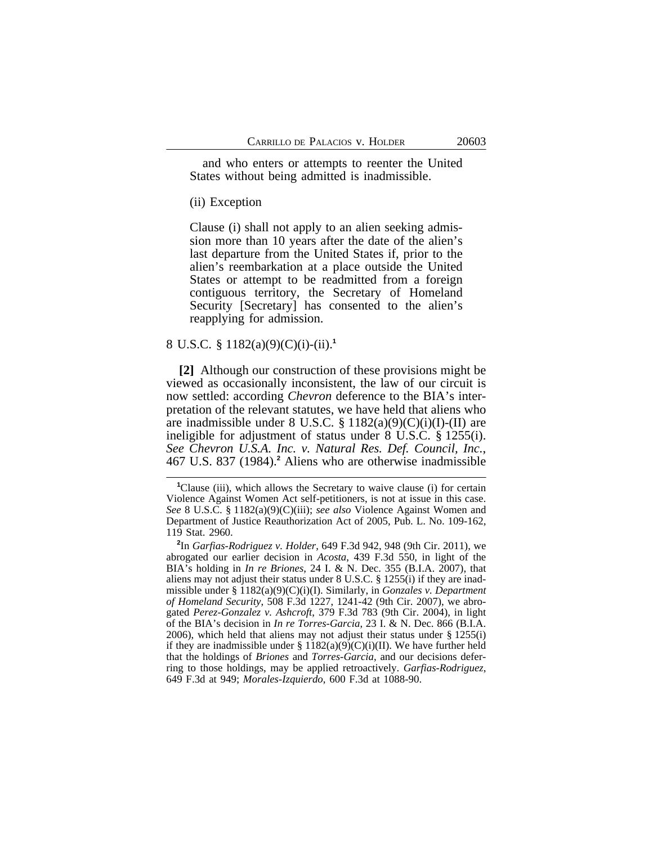and who enters or attempts to reenter the United States without being admitted is inadmissible.

## (ii) Exception

Clause (i) shall not apply to an alien seeking admission more than 10 years after the date of the alien's last departure from the United States if, prior to the alien's reembarkation at a place outside the United States or attempt to be readmitted from a foreign contiguous territory, the Secretary of Homeland Security [Secretary] has consented to the alien's reapplying for admission.

#### 8 U.S.C. § 1182(a)(9)(C)(i)-(ii).**<sup>1</sup>**

**[2]** Although our construction of these provisions might be viewed as occasionally inconsistent, the law of our circuit is now settled: according *Chevron* deference to the BIA's interpretation of the relevant statutes, we have held that aliens who are inadmissible under 8 U.S.C. § 1182(a)(9)(C)(i)(I)-(II) are ineligible for adjustment of status under 8 U.S.C. § 1255(i). *See Chevron U.S.A. Inc. v. Natural Res. Def. Council, Inc.*, 467 U.S. 837 (1984).**<sup>2</sup>** Aliens who are otherwise inadmissible

**<sup>1</sup>**Clause (iii), which allows the Secretary to waive clause (i) for certain Violence Against Women Act self-petitioners, is not at issue in this case. *See* 8 U.S.C. § 1182(a)(9)(C)(iii); *see also* Violence Against Women and Department of Justice Reauthorization Act of 2005, Pub. L. No. 109-162, 119 Stat. 2960.

**<sup>2</sup>** In *Garfias-Rodriguez v. Holder*, 649 F.3d 942, 948 (9th Cir. 2011), we abrogated our earlier decision in *Acosta*, 439 F.3d 550, in light of the BIA's holding in *In re Briones*, 24 I. & N. Dec. 355 (B.I.A. 2007), that aliens may not adjust their status under 8 U.S.C. § 1255(i) if they are inadmissible under § 1182(a)(9)(C)(i)(I). Similarly, in *Gonzales v. Department of Homeland Security*, 508 F.3d 1227, 1241-42 (9th Cir. 2007), we abrogated *Perez-Gonzalez v. Ashcroft*, 379 F.3d 783 (9th Cir. 2004), in light of the BIA's decision in *In re Torres-Garcia*, 23 I. & N. Dec. 866 (B.I.A. 2006), which held that aliens may not adjust their status under  $\S$  1255(i) if they are inadmissible under §  $1182(a)(9)(C)(i)(II)$ . We have further held that the holdings of *Briones* and *Torres-Garcia*, and our decisions deferring to those holdings, may be applied retroactively. *Garfias-Rodriguez*, 649 F.3d at 949; *Morales-Izquierdo*, 600 F.3d at 1088-90.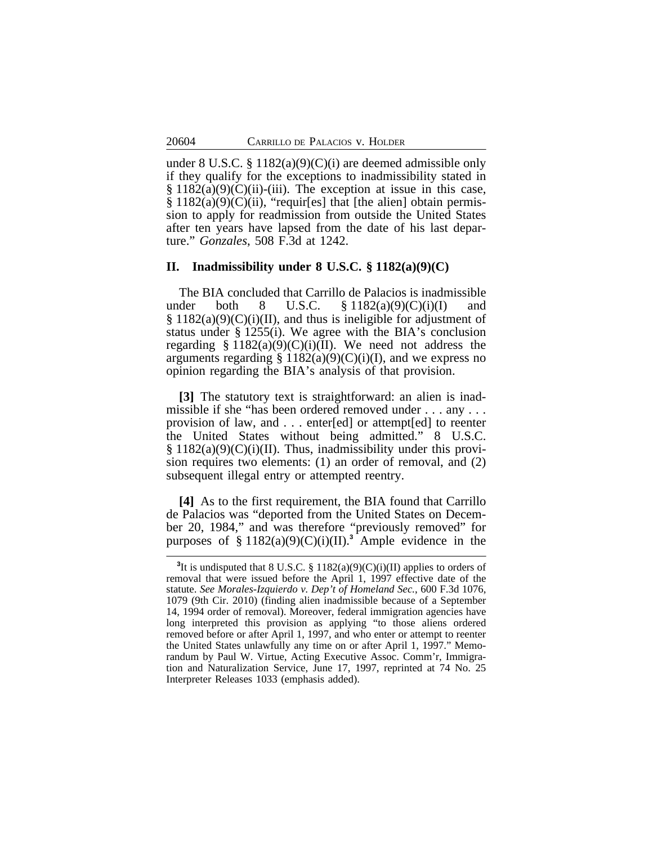under 8 U.S.C. § 1182(a)(9)(C)(i) are deemed admissible only if they qualify for the exceptions to inadmissibility stated in  $\S 1182(a)(9)(C)(ii)$ -(iii). The exception at issue in this case, § 1182(a)(9)(C)(ii), "requir[es] that [the alien] obtain permission to apply for readmission from outside the United States after ten years have lapsed from the date of his last departure." *Gonzales*, 508 F.3d at 1242.

#### **II. Inadmissibility under 8 U.S.C. § 1182(a)(9)(C)**

The BIA concluded that Carrillo de Palacios is inadmissible under both 8 U.S.C.  $\S 1182(a)(9)(C)(i)(I)$  $\S 1182(a)(9)(C)(i)(II)$ , and thus is ineligible for adjustment of status under § 1255(i). We agree with the BIA's conclusion regarding § 1182(a)(9)(C)(i)(II). We need not address the arguments regarding  $\S 1182(a)(9)(C)(i)(I)$ , and we express no opinion regarding the BIA's analysis of that provision.

**[3]** The statutory text is straightforward: an alien is inadmissible if she "has been ordered removed under . . . any . . . provision of law, and . . . enter[ed] or attempt[ed] to reenter the United States without being admitted." 8 U.S.C.  $\S 1182(a)(9)(C)(i)(II)$ . Thus, inadmissibility under this provision requires two elements: (1) an order of removal, and (2) subsequent illegal entry or attempted reentry.

**[4]** As to the first requirement, the BIA found that Carrillo de Palacios was "deported from the United States on December 20, 1984," and was therefore "previously removed" for purposes of  $\S 1182(a)(9)(C)(i)(II).$ <sup>3</sup> Ample evidence in the

<sup>&</sup>lt;sup>3</sup>It is undisputed that 8 U.S.C. § 1182(a)(9)(C)(i)(II) applies to orders of removal that were issued before the April 1, 1997 effective date of the statute. *See Morales-Izquierdo v. Dep't of Homeland Sec.*, 600 F.3d 1076, 1079 (9th Cir. 2010) (finding alien inadmissible because of a September 14, 1994 order of removal). Moreover, federal immigration agencies have long interpreted this provision as applying "to those aliens ordered removed before or after April 1, 1997, and who enter or attempt to reenter the United States unlawfully any time on or after April 1, 1997." Memorandum by Paul W. Virtue, Acting Executive Assoc. Comm'r, Immigration and Naturalization Service, June 17, 1997, reprinted at 74 No. 25 Interpreter Releases 1033 (emphasis added).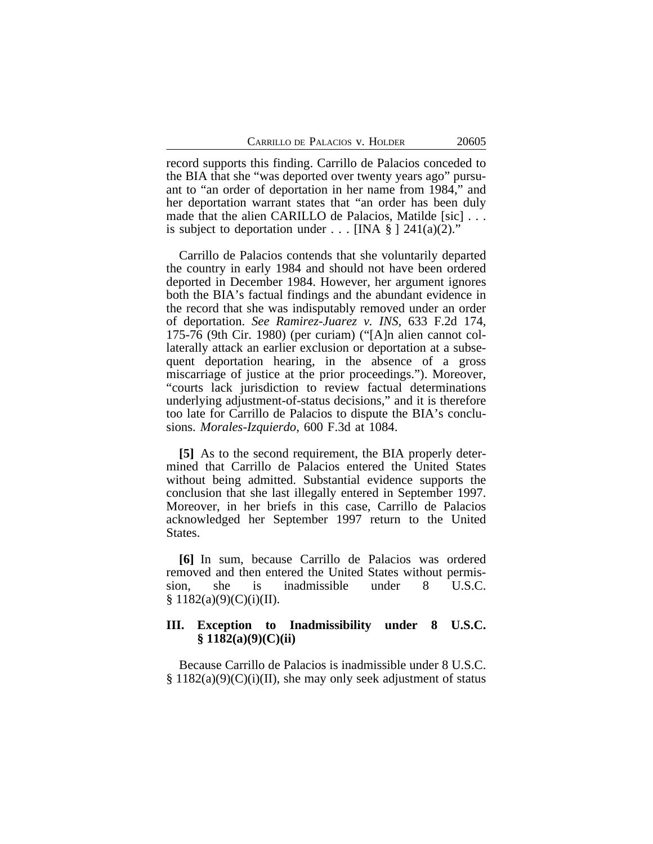record supports this finding. Carrillo de Palacios conceded to the BIA that she "was deported over twenty years ago" pursuant to "an order of deportation in her name from 1984," and her deportation warrant states that "an order has been duly made that the alien CARILLO de Palacios, Matilde [sic] . . . is subject to deportation under  $\ldots$  [INA § ] 241(a)(2)."

Carrillo de Palacios contends that she voluntarily departed the country in early 1984 and should not have been ordered deported in December 1984. However, her argument ignores both the BIA's factual findings and the abundant evidence in the record that she was indisputably removed under an order of deportation. *See Ramirez-Juarez v. INS,* 633 F.2d 174, 175-76 (9th Cir. 1980) (per curiam) ("[A]n alien cannot collaterally attack an earlier exclusion or deportation at a subsequent deportation hearing, in the absence of a gross miscarriage of justice at the prior proceedings."). Moreover, "courts lack jurisdiction to review factual determinations underlying adjustment-of-status decisions," and it is therefore too late for Carrillo de Palacios to dispute the BIA's conclusions. *Morales-Izquierdo*, 600 F.3d at 1084.

**[5]** As to the second requirement, the BIA properly determined that Carrillo de Palacios entered the United States without being admitted. Substantial evidence supports the conclusion that she last illegally entered in September 1997. Moreover, in her briefs in this case, Carrillo de Palacios acknowledged her September 1997 return to the United States.

**[6]** In sum, because Carrillo de Palacios was ordered removed and then entered the United States without permission, she is inadmissible under 8 U.S.C.  $§ 1182(a)(9)(C)(i)(II).$ 

## **III. Exception to Inadmissibility under 8 U.S.C. § 1182(a)(9)(C)(ii)**

Because Carrillo de Palacios is inadmissible under 8 U.S.C. § 1182(a)(9)(C)(i)(II), she may only seek adjustment of status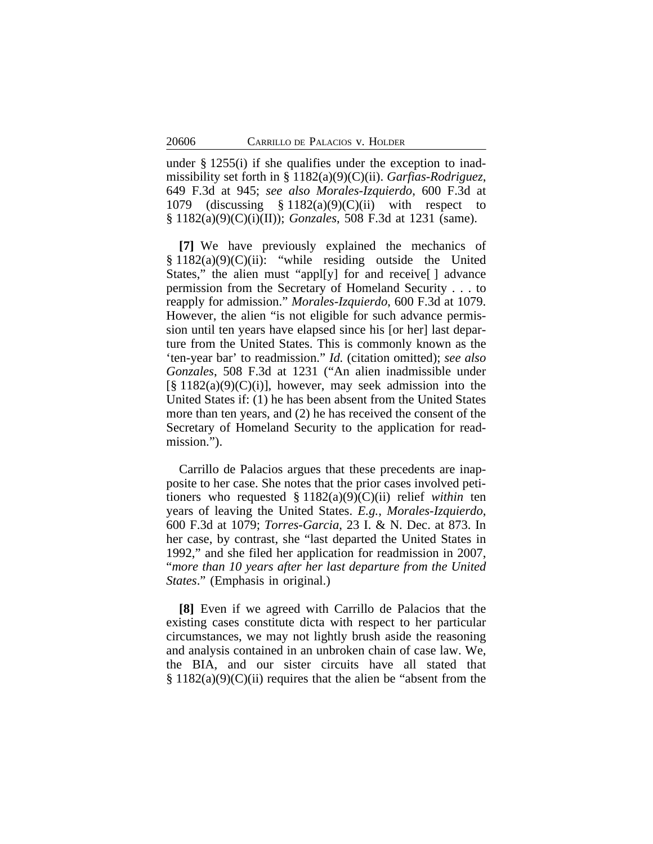under § 1255(i) if she qualifies under the exception to inadmissibility set forth in § 1182(a)(9)(C)(ii). *Garfias-Rodriguez*, 649 F.3d at 945; *see also Morales-Izquierdo*, 600 F.3d at 1079 (discussing  $\S 1182(a)(9)(C)(ii)$  with respect to § 1182(a)(9)(C)(i)(II)); *Gonzales*, 508 F.3d at 1231 (same).

**[7]** We have previously explained the mechanics of  $§ 1182(a)(9)(C)(ii):$  "while residing outside the United States," the alien must "appl[y] for and receive[ ] advance permission from the Secretary of Homeland Security . . . to reapply for admission." *Morales-Izquierdo*, 600 F.3d at 1079. However, the alien "is not eligible for such advance permission until ten years have elapsed since his [or her] last departure from the United States. This is commonly known as the 'ten-year bar' to readmission." *Id.* (citation omitted); *see also Gonzales*, 508 F.3d at 1231 ("An alien inadmissible under  $[\S 1182(a)(9)(C)(i)]$ , however, may seek admission into the United States if: (1) he has been absent from the United States more than ten years, and (2) he has received the consent of the Secretary of Homeland Security to the application for readmission.").

Carrillo de Palacios argues that these precedents are inapposite to her case. She notes that the prior cases involved petitioners who requested § 1182(a)(9)(C)(ii) relief *within* ten years of leaving the United States. *E.g.*, *Morales-Izquierdo*, 600 F.3d at 1079; *Torres-Garcia*, 23 I. & N. Dec. at 873. In her case, by contrast, she "last departed the United States in 1992," and she filed her application for readmission in 2007, "*more than 10 years after her last departure from the United States*." (Emphasis in original.)

**[8]** Even if we agreed with Carrillo de Palacios that the existing cases constitute dicta with respect to her particular circumstances, we may not lightly brush aside the reasoning and analysis contained in an unbroken chain of case law. We, the BIA, and our sister circuits have all stated that  $§ 1182(a)(9)(C)(ii)$  requires that the alien be "absent from the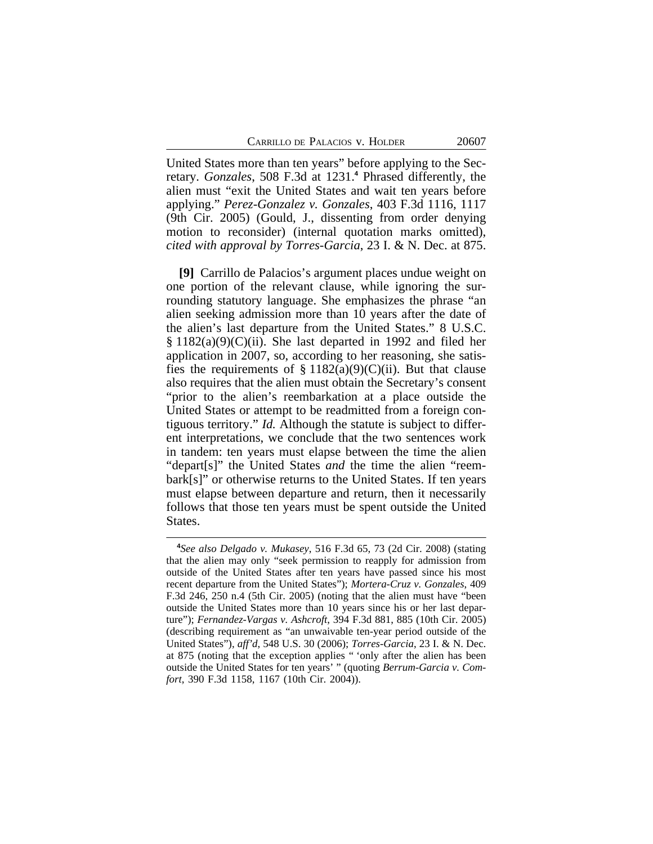United States more than ten years" before applying to the Secretary. *Gonzales*, 508 F.3d at 1231.**<sup>4</sup>** Phrased differently, the alien must "exit the United States and wait ten years before applying." *Perez-Gonzalez v. Gonzales*, 403 F.3d 1116, 1117 (9th Cir. 2005) (Gould, J., dissenting from order denying motion to reconsider) (internal quotation marks omitted), *cited with approval by Torres-Garcia*, 23 I. & N. Dec. at 875.

**[9]** Carrillo de Palacios's argument places undue weight on one portion of the relevant clause, while ignoring the surrounding statutory language. She emphasizes the phrase "an alien seeking admission more than 10 years after the date of the alien's last departure from the United States." 8 U.S.C.  $§ 1182(a)(9)(C)(ii)$ . She last departed in 1992 and filed her application in 2007, so, according to her reasoning, she satisfies the requirements of  $\S 1182(a)(9)(C)(ii)$ . But that clause also requires that the alien must obtain the Secretary's consent "prior to the alien's reembarkation at a place outside the United States or attempt to be readmitted from a foreign contiguous territory." *Id.* Although the statute is subject to different interpretations, we conclude that the two sentences work in tandem: ten years must elapse between the time the alien "depart[s]" the United States *and* the time the alien "reembark[s]" or otherwise returns to the United States. If ten years must elapse between departure and return, then it necessarily follows that those ten years must be spent outside the United States.

**<sup>4</sup>** *See also Delgado v. Mukasey*, 516 F.3d 65, 73 (2d Cir. 2008) (stating that the alien may only "seek permission to reapply for admission from outside of the United States after ten years have passed since his most recent departure from the United States"); *Mortera-Cruz v. Gonzales*, 409 F.3d 246, 250 n.4 (5th Cir. 2005) (noting that the alien must have "been outside the United States more than 10 years since his or her last departure"); *Fernandez-Vargas v. Ashcroft*, 394 F.3d 881, 885 (10th Cir. 2005) (describing requirement as "an unwaivable ten-year period outside of the United States"), *aff'd*, 548 U.S. 30 (2006); *Torres-Garcia*, 23 I. & N. Dec. at 875 (noting that the exception applies " 'only after the alien has been outside the United States for ten years' " (quoting *Berrum-Garcia v. Comfort*, 390 F.3d 1158, 1167 (10th Cir. 2004)).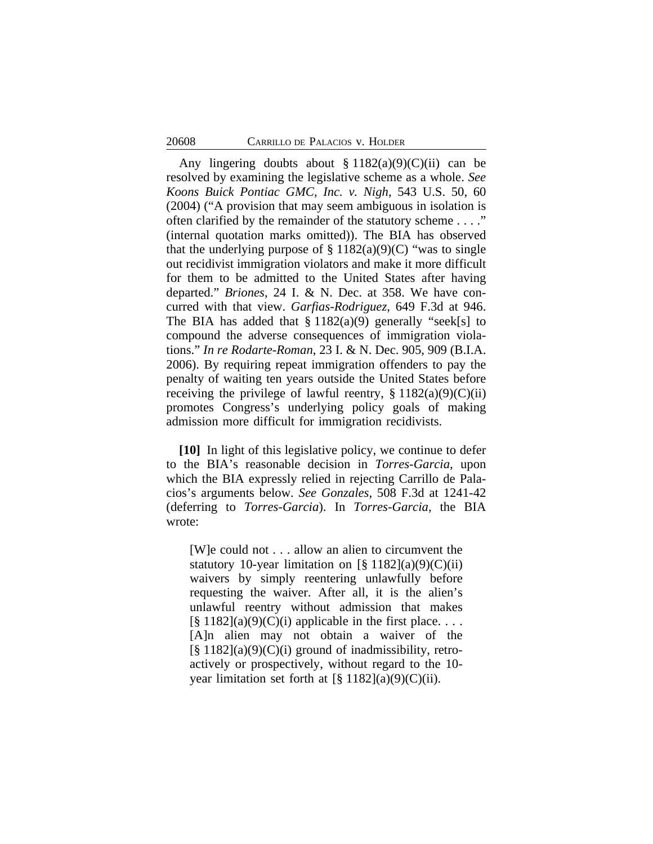Any lingering doubts about  $\S 1182(a)(9)(C)(ii)$  can be resolved by examining the legislative scheme as a whole. *See Koons Buick Pontiac GMC, Inc. v. Nigh*, 543 U.S. 50, 60 (2004) ("A provision that may seem ambiguous in isolation is often clarified by the remainder of the statutory scheme . . . ." (internal quotation marks omitted)). The BIA has observed that the underlying purpose of  $\S 1182(a)(9)(C)$  "was to single out recidivist immigration violators and make it more difficult for them to be admitted to the United States after having departed." *Briones*, 24 I. & N. Dec. at 358. We have concurred with that view. *Garfias-Rodriguez*, 649 F.3d at 946. The BIA has added that  $\S 1182(a)(9)$  generally "seek[s] to compound the adverse consequences of immigration violations." *In re Rodarte-Roman*, 23 I. & N. Dec. 905, 909 (B.I.A. 2006). By requiring repeat immigration offenders to pay the penalty of waiting ten years outside the United States before receiving the privilege of lawful reentry,  $\S 1182(a)(9)(C)(ii)$ promotes Congress's underlying policy goals of making admission more difficult for immigration recidivists.

**[10]** In light of this legislative policy, we continue to defer to the BIA's reasonable decision in *Torres-Garcia*, upon which the BIA expressly relied in rejecting Carrillo de Palacios's arguments below. *See Gonzales*, 508 F.3d at 1241-42 (deferring to *Torres-Garcia*). In *Torres-Garcia*, the BIA wrote:

[W]e could not . . . allow an alien to circumvent the statutory 10-year limitation on  $\lceil \frac{8}{3} \cdot 1182 \rceil(a)(9)(C)(ii)$ waivers by simply reentering unlawfully before requesting the waiver. After all, it is the alien's unlawful reentry without admission that makes  $\lceil \frac{8}{9} \cdot 1182 \rceil$ (a)(9)(C)(i) applicable in the first place... [A]n alien may not obtain a waiver of the  $\lceil$ § 1182](a)(9)(C)(i) ground of inadmissibility, retroactively or prospectively, without regard to the 10 year limitation set forth at  $[\S 1182](a)(9)(C)(ii)$ .